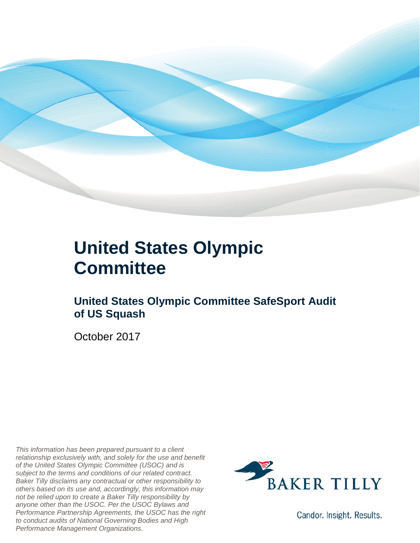

#### **United States Olympic Committee**

#### **United States Olympic Committee SafeSport Audit of US Squash**

October 2017

*This information has been prepared pursuant to a client relationship exclusively with, and solely for the use and benefit of the United States Olympic Committee (USOC) and is subject to the terms and conditions of our related contract. Baker Tilly disclaims any contractual or other responsibility to others based on its use and, accordingly, this information may not be relied upon to create a Baker Tilly responsibility by anyone other than the USOC. Per the USOC Bylaws and Performance Partnership Agreements, the USOC has the right to conduct audits of National Governing Bodies and High Performance Management Organizations.*



Candor. Insight. Results.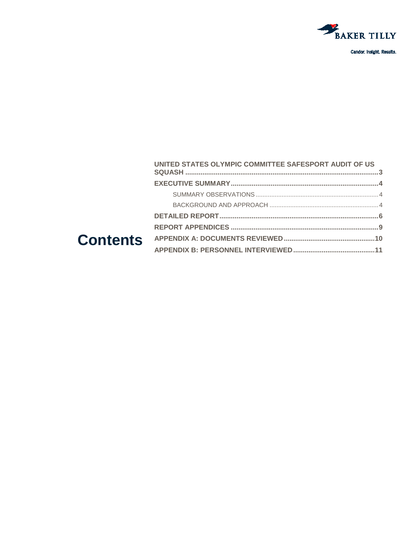

| UNITED STATES OLYMPIC COMMITTEE SAFESPORT AUDIT OF US |  |
|-------------------------------------------------------|--|
|                                                       |  |
|                                                       |  |
|                                                       |  |
|                                                       |  |
|                                                       |  |
|                                                       |  |
|                                                       |  |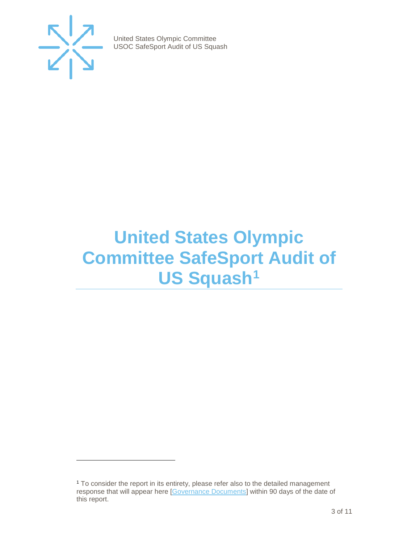

j

United States Olympic Committee USOC SafeSport Audit of US Squash

### <span id="page-2-0"></span>**United States Olympic Committee SafeSport Audit of US Squash[1](#page-2-1)**

<span id="page-2-1"></span><sup>1</sup> To consider the report in its entirety, please refer also to the detailed management response that will appear here [\[Governance Documents\]](https://www.teamusa.org/Footer/Legal/Governance-Documents) within 90 days of the date of this report.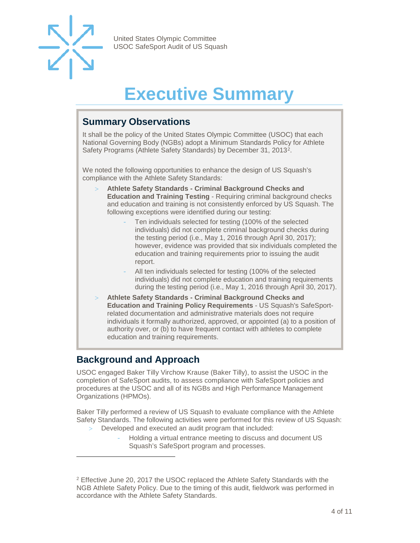

## **Executive Summary**

#### <span id="page-3-1"></span><span id="page-3-0"></span>**Summary Observations**

It shall be the policy of the United States Olympic Committee (USOC) that each National Governing Body (NGBs) adopt a Minimum Standards Policy for Athlete Safety Programs (Athlete Safety Standards) by December 31, 2013[2](#page-3-3).

We noted the following opportunities to enhance the design of US Squash's compliance with the Athlete Safety Standards:

- > **Athlete Safety Standards - Criminal Background Checks and Education and Training Testing** - Requiring criminal background checks and education and training is not consistently enforced by US Squash. The following exceptions were identified during our testing:
	- Ten individuals selected for testing (100% of the selected individuals) did not complete criminal background checks during the testing period (i.e., May 1, 2016 through April 30, 2017); however, evidence was provided that six individuals completed the education and training requirements prior to issuing the audit report.
	- All ten individuals selected for testing (100% of the selected individuals) did not complete education and training requirements during the testing period (i.e., May 1, 2016 through April 30, 2017).
- > **Athlete Safety Standards - Criminal Background Checks and Education and Training Policy Requirements** - US Squash's SafeSportrelated documentation and administrative materials does not require individuals it formally authorized, approved, or appointed (a) to a position of authority over, or (b) to have frequent contact with athletes to complete education and training requirements.

#### <span id="page-3-2"></span>**Background and Approach**

-

USOC engaged Baker Tilly Virchow Krause (Baker Tilly), to assist the USOC in the completion of SafeSport audits, to assess compliance with SafeSport policies and procedures at the USOC and all of its NGBs and High Performance Management Organizations (HPMOs).

Baker Tilly performed a review of US Squash to evaluate compliance with the Athlete Safety Standards. The following activities were performed for this review of US Squash:

- > Developed and executed an audit program that included:
	- Holding a virtual entrance meeting to discuss and document US Squash's SafeSport program and processes.

<span id="page-3-3"></span><sup>2</sup> Effective June 20, 2017 the USOC replaced the Athlete Safety Standards with the NGB Athlete Safety Policy. Due to the timing of this audit, fieldwork was performed in accordance with the Athlete Safety Standards.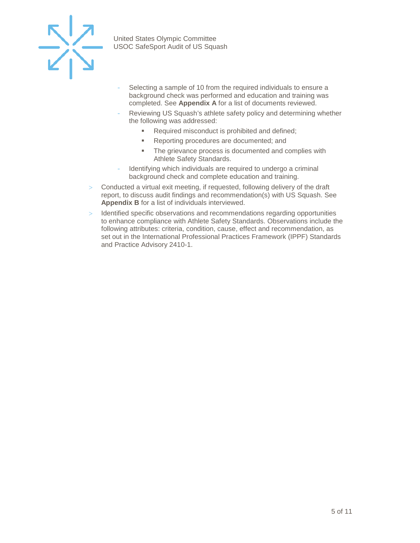

- Selecting a sample of 10 from the required individuals to ensure a background check was performed and education and training was completed. See **Appendix A** for a list of documents reviewed.
- Reviewing US Squash's athlete safety policy and determining whether the following was addressed:
	- Required misconduct is prohibited and defined;
	- **Reporting procedures are documented; and**
	- **The grievance process is documented and complies with** Athlete Safety Standards.
- Identifying which individuals are required to undergo a criminal background check and complete education and training.
- > Conducted a virtual exit meeting, if requested, following delivery of the draft report, to discuss audit findings and recommendation(s) with US Squash. See **Appendix B** for a list of individuals interviewed.
- > Identified specific observations and recommendations regarding opportunities to enhance compliance with Athlete Safety Standards. Observations include the following attributes: criteria, condition, cause, effect and recommendation, as set out in the International Professional Practices Framework (IPPF) Standards and Practice Advisory 2410-1.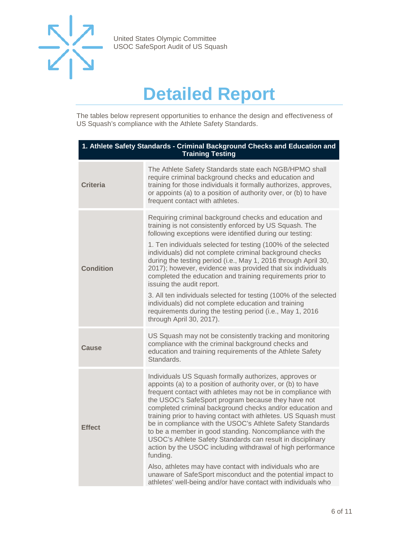

### **Detailed Report**

<span id="page-5-0"></span>The tables below represent opportunities to enhance the design and effectiveness of US Squash's compliance with the Athlete Safety Standards.

| 1. Athlete Safety Standards - Criminal Background Checks and Education and<br><b>Training Testing</b> |                                                                                                                                                                                                                                                                                                                                                                                                                                                                                                                                                                                                                                                                                                                                                                                                                                          |  |
|-------------------------------------------------------------------------------------------------------|------------------------------------------------------------------------------------------------------------------------------------------------------------------------------------------------------------------------------------------------------------------------------------------------------------------------------------------------------------------------------------------------------------------------------------------------------------------------------------------------------------------------------------------------------------------------------------------------------------------------------------------------------------------------------------------------------------------------------------------------------------------------------------------------------------------------------------------|--|
| <b>Criteria</b>                                                                                       | The Athlete Safety Standards state each NGB/HPMO shall<br>require criminal background checks and education and<br>training for those individuals it formally authorizes, approves,<br>or appoints (a) to a position of authority over, or (b) to have<br>frequent contact with athletes.                                                                                                                                                                                                                                                                                                                                                                                                                                                                                                                                                 |  |
| <b>Condition</b>                                                                                      | Requiring criminal background checks and education and<br>training is not consistently enforced by US Squash. The<br>following exceptions were identified during our testing:<br>1. Ten individuals selected for testing (100% of the selected<br>individuals) did not complete criminal background checks<br>during the testing period (i.e., May 1, 2016 through April 30,<br>2017); however, evidence was provided that six individuals<br>completed the education and training requirements prior to<br>issuing the audit report.<br>3. All ten individuals selected for testing (100% of the selected<br>individuals) did not complete education and training<br>requirements during the testing period (i.e., May 1, 2016<br>through April 30, 2017).                                                                              |  |
| Cause                                                                                                 | US Squash may not be consistently tracking and monitoring<br>compliance with the criminal background checks and<br>education and training requirements of the Athlete Safety<br>Standards.                                                                                                                                                                                                                                                                                                                                                                                                                                                                                                                                                                                                                                               |  |
| <b>Effect</b>                                                                                         | Individuals US Squash formally authorizes, approves or<br>appoints (a) to a position of authority over, or (b) to have<br>frequent contact with athletes may not be in compliance with<br>the USOC's SafeSport program because they have not<br>completed criminal background checks and/or education and<br>training prior to having contact with athletes. US Squash must<br>be in compliance with the USOC's Athlete Safety Standards<br>to be a member in good standing. Noncompliance with the<br>USOC's Athlete Safety Standards can result in disciplinary<br>action by the USOC including withdrawal of high performance<br>funding.<br>Also, athletes may have contact with individuals who are<br>unaware of SafeSport misconduct and the potential impact to<br>athletes' well-being and/or have contact with individuals who |  |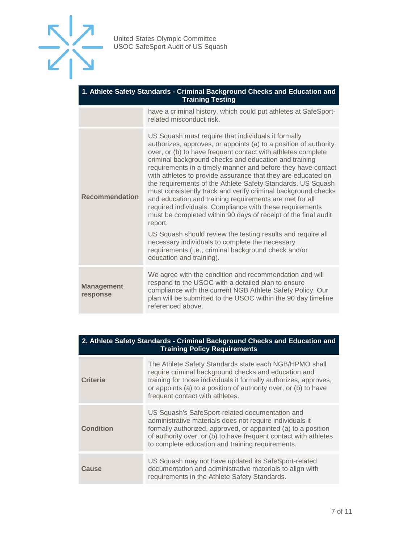

| 1. Athlete Safety Standards - Criminal Background Checks and Education and<br><b>Training Testing</b> |                                                                                                                                                                                                                                                                                                                                                                                                                                                                                                                                                                                                                                                                                                                                                                                                                                                                                                |  |
|-------------------------------------------------------------------------------------------------------|------------------------------------------------------------------------------------------------------------------------------------------------------------------------------------------------------------------------------------------------------------------------------------------------------------------------------------------------------------------------------------------------------------------------------------------------------------------------------------------------------------------------------------------------------------------------------------------------------------------------------------------------------------------------------------------------------------------------------------------------------------------------------------------------------------------------------------------------------------------------------------------------|--|
|                                                                                                       | have a criminal history, which could put athletes at SafeSport-<br>related misconduct risk.                                                                                                                                                                                                                                                                                                                                                                                                                                                                                                                                                                                                                                                                                                                                                                                                    |  |
| <b>Recommendation</b>                                                                                 | US Squash must require that individuals it formally<br>authorizes, approves, or appoints (a) to a position of authority<br>over, or (b) to have frequent contact with athletes complete<br>criminal background checks and education and training<br>requirements in a timely manner and before they have contact<br>with athletes to provide assurance that they are educated on<br>the requirements of the Athlete Safety Standards. US Squash<br>must consistently track and verify criminal background checks<br>and education and training requirements are met for all<br>required individuals. Compliance with these requirements<br>must be completed within 90 days of receipt of the final audit<br>report.<br>US Squash should review the testing results and require all<br>necessary individuals to complete the necessary<br>requirements (i.e., criminal background check and/or |  |
|                                                                                                       | education and training).                                                                                                                                                                                                                                                                                                                                                                                                                                                                                                                                                                                                                                                                                                                                                                                                                                                                       |  |
| <b>Management</b><br>response                                                                         | We agree with the condition and recommendation and will<br>respond to the USOC with a detailed plan to ensure<br>compliance with the current NGB Athlete Safety Policy. Our<br>plan will be submitted to the USOC within the 90 day timeline<br>referenced above.                                                                                                                                                                                                                                                                                                                                                                                                                                                                                                                                                                                                                              |  |

| 2. Athlete Safety Standards - Criminal Background Checks and Education and<br><b>Training Policy Requirements</b> |                                                                                                                                                                                                                                                                                                      |  |
|-------------------------------------------------------------------------------------------------------------------|------------------------------------------------------------------------------------------------------------------------------------------------------------------------------------------------------------------------------------------------------------------------------------------------------|--|
| Criteria                                                                                                          | The Athlete Safety Standards state each NGB/HPMO shall<br>require criminal background checks and education and<br>training for those individuals it formally authorizes, approves,<br>or appoints (a) to a position of authority over, or (b) to have<br>frequent contact with athletes.             |  |
| <b>Condition</b>                                                                                                  | US Squash's SafeSport-related documentation and<br>administrative materials does not require individuals it<br>formally authorized, approved, or appointed (a) to a position<br>of authority over, or (b) to have frequent contact with athletes<br>to complete education and training requirements. |  |
| Cause                                                                                                             | US Squash may not have updated its SafeSport-related<br>documentation and administrative materials to align with<br>requirements in the Athlete Safety Standards.                                                                                                                                    |  |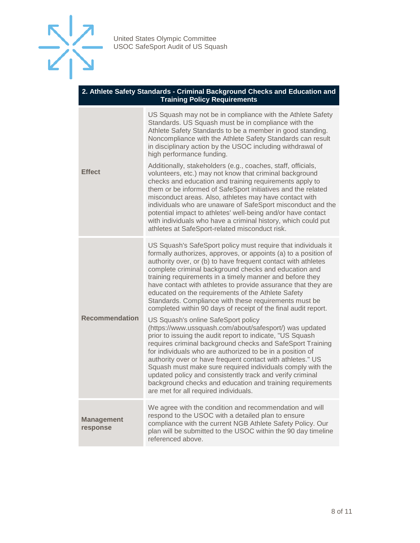

#### **2. Athlete Safety Standards - Criminal Background Checks and Education and Training Policy Requirements**

| <b>Effect</b>                 | US Squash may not be in compliance with the Athlete Safety<br>Standards. US Squash must be in compliance with the<br>Athlete Safety Standards to be a member in good standing.<br>Noncompliance with the Athlete Safety Standards can result<br>in disciplinary action by the USOC including withdrawal of<br>high performance funding.                                                                                                                                                                                                                                               |
|-------------------------------|---------------------------------------------------------------------------------------------------------------------------------------------------------------------------------------------------------------------------------------------------------------------------------------------------------------------------------------------------------------------------------------------------------------------------------------------------------------------------------------------------------------------------------------------------------------------------------------|
|                               | Additionally, stakeholders (e.g., coaches, staff, officials,<br>volunteers, etc.) may not know that criminal background<br>checks and education and training requirements apply to<br>them or be informed of SafeSport initiatives and the related<br>misconduct areas. Also, athletes may have contact with<br>individuals who are unaware of SafeSport misconduct and the<br>potential impact to athletes' well-being and/or have contact<br>with individuals who have a criminal history, which could put<br>athletes at SafeSport-related misconduct risk.                        |
| <b>Recommendation</b>         | US Squash's SafeSport policy must require that individuals it<br>formally authorizes, approves, or appoints (a) to a position of<br>authority over, or (b) to have frequent contact with athletes<br>complete criminal background checks and education and<br>training requirements in a timely manner and before they<br>have contact with athletes to provide assurance that they are<br>educated on the requirements of the Athlete Safety<br>Standards. Compliance with these requirements must be<br>completed within 90 days of receipt of the final audit report.              |
|                               | US Squash's online SafeSport policy<br>(https://www.ussquash.com/about/safesport/) was updated<br>prior to issuing the audit report to indicate, "US Squash<br>requires criminal background checks and SafeSport Training<br>for individuals who are authorized to be in a position of<br>authority over or have frequent contact with athletes." US<br>Squash must make sure required individuals comply with the<br>updated policy and consistently track and verify criminal<br>background checks and education and training requirements<br>are met for all required individuals. |
| <b>Management</b><br>response | We agree with the condition and recommendation and will<br>respond to the USOC with a detailed plan to ensure<br>compliance with the current NGB Athlete Safety Policy. Our<br>plan will be submitted to the USOC within the 90 day timeline<br>referenced above.                                                                                                                                                                                                                                                                                                                     |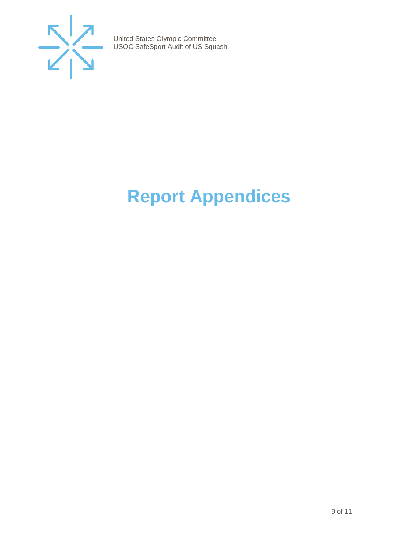

# <span id="page-8-0"></span>**Report Appendices**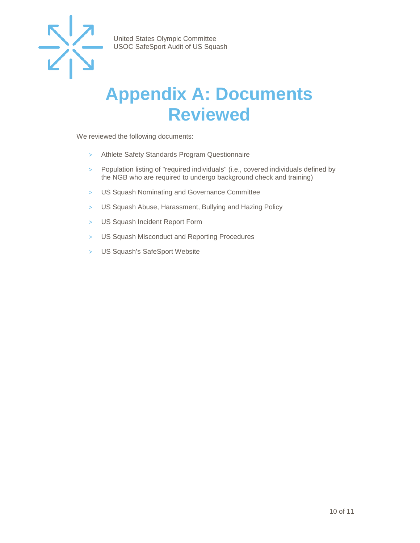

### <span id="page-9-0"></span>**Appendix A: Documents Reviewed**

We reviewed the following documents:

- > Athlete Safety Standards Program Questionnaire
- > Population listing of "required individuals" (i.e., covered individuals defined by the NGB who are required to undergo background check and training)
- > US Squash Nominating and Governance Committee
- > US Squash Abuse, Harassment, Bullying and Hazing Policy
- > US Squash Incident Report Form
- > US Squash Misconduct and Reporting Procedures
- > US Squash's SafeSport Website